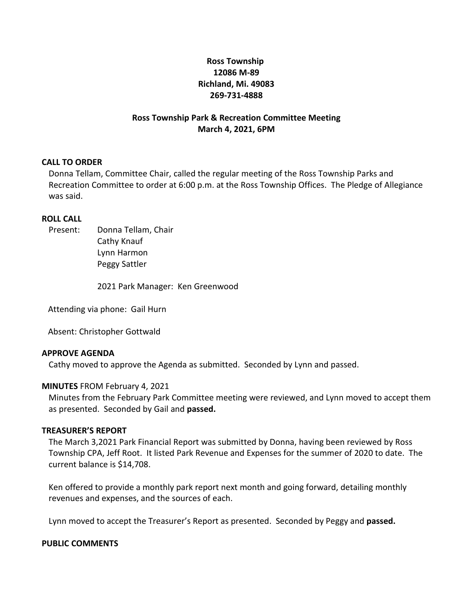# **Ross Township 12086 M-89 Richland, Mi. 49083 269-731-4888**

#### **Ross Township Park & Recreation Committee Meeting March 4, 2021, 6PM**

#### **CALL TO ORDER**

Donna Tellam, Committee Chair, called the regular meeting of the Ross Township Parks and Recreation Committee to order at 6:00 p.m. at the Ross Township Offices. The Pledge of Allegiance was said.

#### **ROLL CALL**

Present: Donna Tellam, Chair Cathy Knauf Lynn Harmon Peggy Sattler

2021 Park Manager: Ken Greenwood

Attending via phone: Gail Hurn

Absent: Christopher Gottwald

#### **APPROVE AGENDA**

Cathy moved to approve the Agenda as submitted. Seconded by Lynn and passed.

#### **MINUTES** FROM February 4, 2021

Minutes from the February Park Committee meeting were reviewed, and Lynn moved to accept them as presented. Seconded by Gail and **passed.**

#### **TREASURER'S REPORT**

The March 3,2021 Park Financial Report was submitted by Donna, having been reviewed by Ross Township CPA, Jeff Root. It listed Park Revenue and Expenses for the summer of 2020 to date. The current balance is \$14,708.

Ken offered to provide a monthly park report next month and going forward, detailing monthly revenues and expenses, and the sources of each.

Lynn moved to accept the Treasurer's Report as presented. Seconded by Peggy and **passed.**

#### **PUBLIC COMMENTS**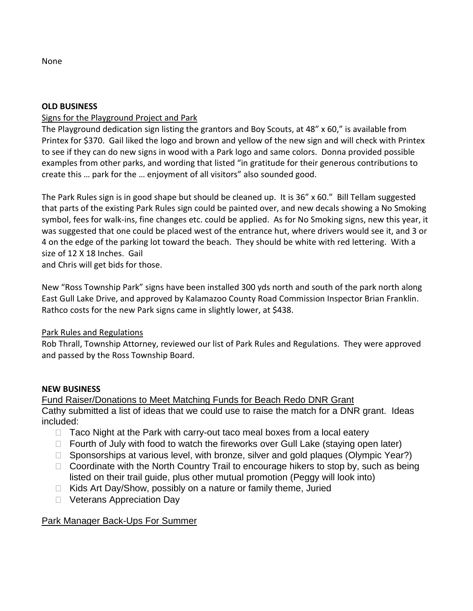None

#### **OLD BUSINESS**

## Signs for the Playground Project and Park

The Playground dedication sign listing the grantors and Boy Scouts, at 48" x 60," is available from Printex for \$370. Gail liked the logo and brown and yellow of the new sign and will check with Printex to see if they can do new signs in wood with a Park logo and same colors. Donna provided possible examples from other parks, and wording that listed "in gratitude for their generous contributions to create this … park for the … enjoyment of all visitors" also sounded good.

The Park Rules sign is in good shape but should be cleaned up. It is 36" x 60." Bill Tellam suggested that parts of the existing Park Rules sign could be painted over, and new decals showing a No Smoking symbol, fees for walk-ins, fine changes etc. could be applied. As for No Smoking signs, new this year, it was suggested that one could be placed west of the entrance hut, where drivers would see it, and 3 or 4 on the edge of the parking lot toward the beach. They should be white with red lettering. With a size of 12 X 18 Inches. Gail

and Chris will get bids for those.

New "Ross Township Park" signs have been installed 300 yds north and south of the park north along East Gull Lake Drive, and approved by Kalamazoo County Road Commission Inspector Brian Franklin. Rathco costs for the new Park signs came in slightly lower, at \$438.

## Park Rules and Regulations

Rob Thrall, Township Attorney, reviewed our list of Park Rules and Regulations. They were approved and passed by the Ross Township Board.

#### **NEW BUSINESS**

Fund Raiser/Donations to Meet Matching Funds for Beach Redo DNR Grant Cathy submitted a list of ideas that we could use to raise the match for a DNR grant. Ideas included:

- $\Box$  Taco Night at the Park with carry-out taco meal boxes from a local eatery
- $\Box$  Fourth of July with food to watch the fireworks over Gull Lake (staying open later)
- $\Box$  Sponsorships at various level, with bronze, silver and gold plaques (Olympic Year?)
- $\Box$  Coordinate with the North Country Trail to encourage hikers to stop by, such as being listed on their trail guide, plus other mutual promotion (Peggy will look into)
- $\Box$  Kids Art Day/Show, possibly on a nature or family theme, Juried
- □ Veterans Appreciation Day

## Park Manager Back-Ups For Summer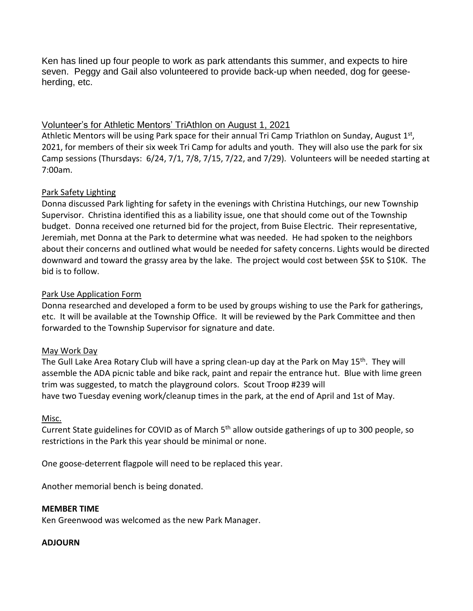Ken has lined up four people to work as park attendants this summer, and expects to hire seven. Peggy and Gail also volunteered to provide back-up when needed, dog for geeseherding, etc.

## Volunteer's for Athletic Mentors' TriAthlon on August 1, 2021

Athletic Mentors will be using Park space for their annual Tri Camp Triathlon on Sunday, August 1<sup>st</sup>, 2021, for members of their six week Tri Camp for adults and youth. They will also use the park for six Camp sessions (Thursdays: 6/24, 7/1, 7/8, 7/15, 7/22, and 7/29). Volunteers will be needed starting at 7:00am.

# Park Safety Lighting

Donna discussed Park lighting for safety in the evenings with Christina Hutchings, our new Township Supervisor. Christina identified this as a liability issue, one that should come out of the Township budget. Donna received one returned bid for the project, from Buise Electric. Their representative, Jeremiah, met Donna at the Park to determine what was needed. He had spoken to the neighbors about their concerns and outlined what would be needed for safety concerns. Lights would be directed downward and toward the grassy area by the lake. The project would cost between \$5K to \$10K. The bid is to follow.

# Park Use Application Form

Donna researched and developed a form to be used by groups wishing to use the Park for gatherings, etc. It will be available at the Township Office. It will be reviewed by the Park Committee and then forwarded to the Township Supervisor for signature and date.

## May Work Day

The Gull Lake Area Rotary Club will have a spring clean-up day at the Park on May 15<sup>th</sup>. They will assemble the ADA picnic table and bike rack, paint and repair the entrance hut. Blue with lime green trim was suggested, to match the playground colors. Scout Troop #239 will have two Tuesday evening work/cleanup times in the park, at the end of April and 1st of May.

## Misc.

Current State guidelines for COVID as of March 5<sup>th</sup> allow outside gatherings of up to 300 people, so restrictions in the Park this year should be minimal or none.

One goose-deterrent flagpole will need to be replaced this year.

Another memorial bench is being donated.

## **MEMBER TIME**

Ken Greenwood was welcomed as the new Park Manager.

## **ADJOURN**